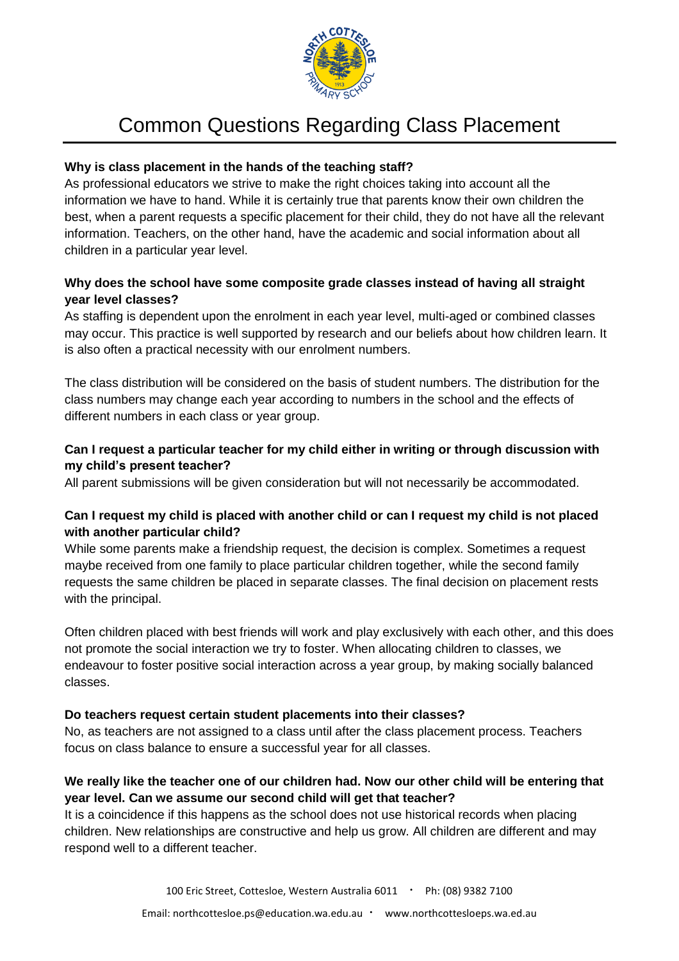

# Common Questions Regarding Class Placement

#### **Why is class placement in the hands of the teaching staff?**

As professional educators we strive to make the right choices taking into account all the information we have to hand. While it is certainly true that parents know their own children the best, when a parent requests a specific placement for their child, they do not have all the relevant information. Teachers, on the other hand, have the academic and social information about all children in a particular year level.

# **Why does the school have some composite grade classes instead of having all straight year level classes?**

As staffing is dependent upon the enrolment in each year level, multi-aged or combined classes may occur. This practice is well supported by research and our beliefs about how children learn. It is also often a practical necessity with our enrolment numbers.

The class distribution will be considered on the basis of student numbers. The distribution for the class numbers may change each year according to numbers in the school and the effects of different numbers in each class or year group.

# **Can I request a particular teacher for my child either in writing or through discussion with my child's present teacher?**

All parent submissions will be given consideration but will not necessarily be accommodated.

# **Can I request my child is placed with another child or can I request my child is not placed with another particular child?**

While some parents make a friendship request, the decision is complex. Sometimes a request maybe received from one family to place particular children together, while the second family requests the same children be placed in separate classes. The final decision on placement rests with the principal.

Often children placed with best friends will work and play exclusively with each other, and this does not promote the social interaction we try to foster. When allocating children to classes, we endeavour to foster positive social interaction across a year group, by making socially balanced classes.

#### **Do teachers request certain student placements into their classes?**

No, as teachers are not assigned to a class until after the class placement process. Teachers focus on class balance to ensure a successful year for all classes.

# **We really like the teacher one of our children had. Now our other child will be entering that year level. Can we assume our second child will get that teacher?**

It is a coincidence if this happens as the school does not use historical records when placing children. New relationships are constructive and help us grow. All children are different and may respond well to a different teacher.